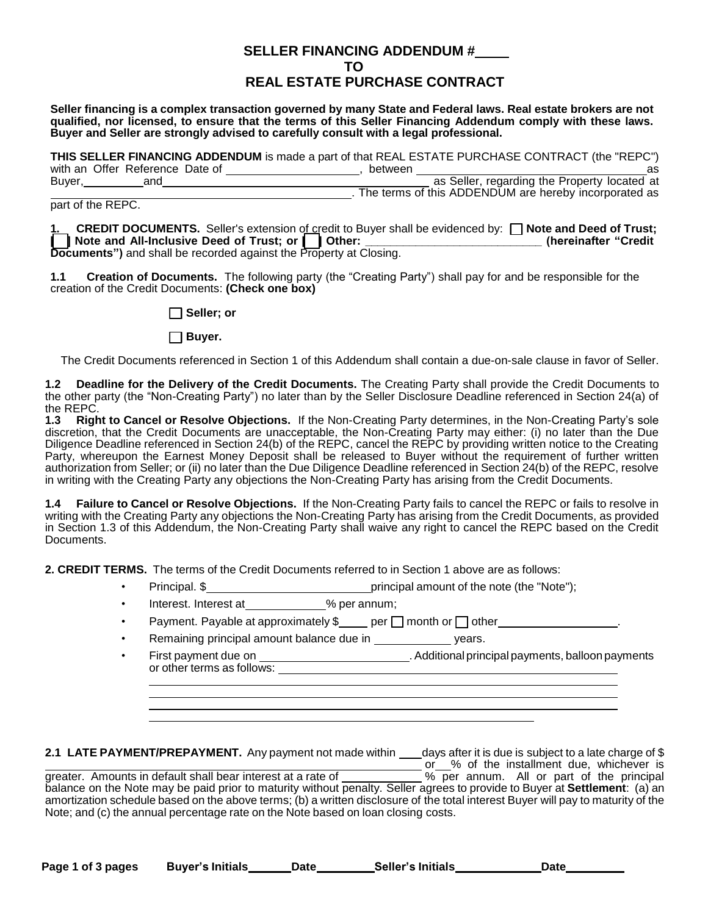## **SELLER FINANCING ADDENDUM # TO REAL ESTATE PURCHASE CONTRACT**

**Seller financing is a complex transaction governed by many State and Federal laws. Real estate brokers are not qualified, nor licensed, to ensure that the terms of this Seller Financing Addendum comply with these laws. Buyer and Seller are strongly advised to carefully consult with a legal professional.**

**THIS SELLER FINANCING ADDENDUM** is made a part of that REAL ESTATE PURCHASE CONTRACT (the "REPC") with an Offer Reference Date of , between as Buyer, and as Seller, regarding the Property located at . The terms of this ADDENDUM are hereby incorporated as

part of the REPC.

**1. CREDIT DOCUMENTS.** Seller's extension of credit to Buyer shall be evidenced by: **[ ] Note and Deed of Trust; [ ] Note and All-Inclusive Deed of Trust; or [ ] Other: \_\_\_\_\_\_\_\_\_\_\_\_\_\_\_\_\_\_\_\_\_\_\_\_\_\_\_\_ (hereinafter "Credit Documents")** and shall be recorded against the Property at Closing.

**1.1 Creation of Documents.** The following party (the "Creating Party") shall pay for and be responsible for the creation of the Credit Documents: **(Check one box)**

**[ ] Seller; or**

**[ ] Buyer.**

The Credit Documents referenced in Section 1 of this Addendum shall contain a due-on-sale clause in favor of Seller.

**1.2 Deadline for the Delivery of the Credit Documents.** The Creating Party shall provide the Credit Documents to the other party (the "Non-Creating Party") no later than by the Seller Disclosure Deadline referenced in Section 24(a) of the REPC.<br>**1.3 Righ** 

**1.3 Right to Cancel or Resolve Objections.** If the Non-Creating Party determines, in the Non-Creating Party's sole discretion, that the Credit Documents are unacceptable, the Non-Creating Party may either: (i) no later than the Due Diligence Deadline referenced in Section 24(b) of the REPC, cancel the REPC by providing written notice to the Creating Party, whereupon the Earnest Money Deposit shall be released to Buyer without the requirement of further written authorization from Seller; or (ii) no later than the Due Diligence Deadline referenced in Section 24(b) of the REPC, resolve in writing with the Creating Party any objections the Non-Creating Party has arising from the Credit Documents.

**1.4 Failure to Cancel or Resolve Objections.** If the Non-Creating Party fails to cancel the REPC or fails to resolve in writing with the Creating Party any objections the Non-Creating Party has arising from the Credit Documents, as provided in Section 1.3 of this Addendum, the Non-Creating Party shall waive any right to cancel the REPC based on the Credit Documents.

**2. CREDIT TERMS.** The terms of the Credit Documents referred to in Section 1 above are as follows:

- Principal. \$
- Interest. Interest at  $\frac{1}{2}$ % per annum;
- Payment. Payable at approximately  $\frac{p}{p}$  per  $\Box$  month or  $\Box$  other  $\Box$

Remaining principal amount balance due in \_\_\_\_\_\_\_\_\_\_\_\_\_\_\_ years.

• First payment due on . Additional principal payments, balloon payments or other terms as follows:

2.1 LATE PAYMENT/PREPAYMENT. Any payment not made within \_\_\_days after it is due is subject to a late charge of \$ or % of the installment due, whichever is greater. Amounts in default shall bear interest at a rate of \_\_\_\_\_\_\_\_\_\_\_% per annum. All or part of the principal balance on the Note may be paid prior to maturity without penalty. Seller agrees to provide to Buyer at **Settlement**: (a) an amortization schedule based on the above terms; (b) a written disclosure of the total interest Buyer will pay to maturity of the Note; and (c) the annual percentage rate on the Note based on loan closing costs.

| Page 1 of 3 pages | <b>Buver's Initials</b> | Date | <b>Seller's Initials</b> | Date |
|-------------------|-------------------------|------|--------------------------|------|
|                   |                         |      |                          |      |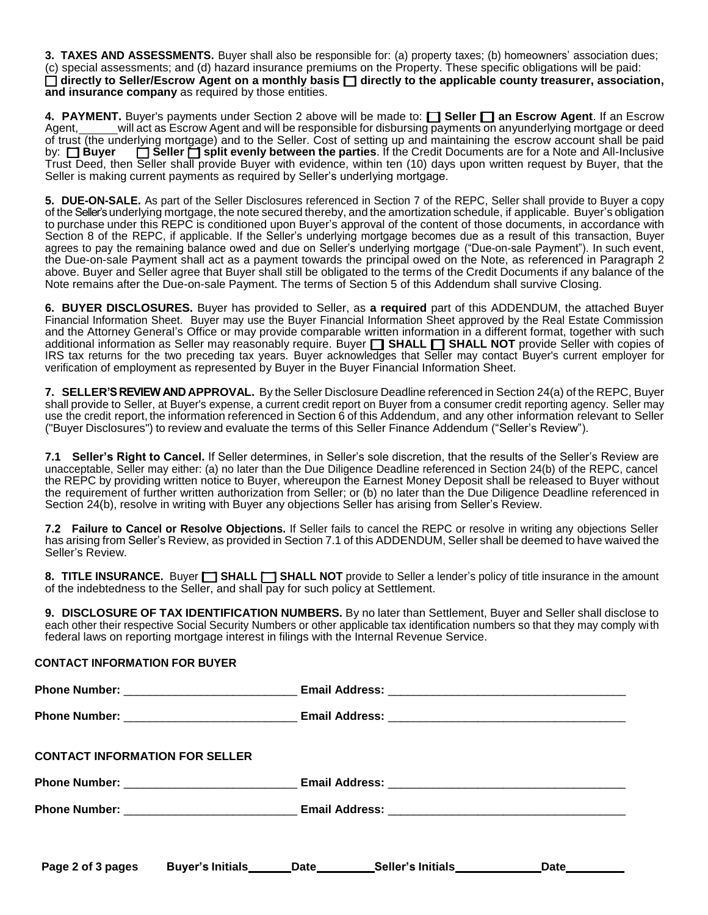**3. TAXES AND ASSESSMENTS.** Buyer shall also be responsible for: (a) property taxes; (b) homeowners' association dues; (c) special assessments; and (d) hazard insurance premiums on the Property. These specific obligations will be paid:  $\Box$  directly to Seller/Escrow Agent on a monthly basis  $\Box$  directly to the applicable county treasurer, association, **and insurance company** as required by those entities.

**4. PAYMENT.** Buyer's payments under Section 2 above will be made to: **[ ] Seller [ ] an Escrow Agent**. If an Escrow Agent, will act as Escrow Agent and will be responsible for disbursing payments on anyunderlying mortgage or deed of trust (the underlying mortgage) and to the Seller. Cost of setting up and maintaining the escrow account shall be paid by: **[ ] Buyer [ ] Seller [ ] split evenly between the parties**. If the Credit Documents are for a Note and All-Inclusive Trust Deed, then Seller shall provide Buyer with evidence, within ten (10) days upon written request by Buyer, that the Seller is making current payments as required by Seller's underlying mortgage.

**5. DUE-ON-SALE.** As part of the Seller Disclosures referenced in Section 7 of the REPC, Seller shall provide to Buyer a copy of the Seller's underlying mortgage, the note secured thereby, and the amortization schedule, if applicable. Buyer's obligation to purchase under this REPC is conditioned upon Buyer's approval of the content of those documents, in accordance with Section 8 of the REPC, if applicable. If the Seller's underlying mortgage becomes due as a result of this transaction, Buyer agrees to pay the remaining balance owed and due on Seller's underlying mortgage ("Due-on-sale Payment"). In such event, the Due-on-sale Payment shall act as a payment towards the principal owed on the Note, as referenced in Paragraph 2 above. Buyer and Seller agree that Buyer shall still be obligated to the terms of the Credit Documents if any balance of the Note remains after the Due-on-sale Payment. The terms of Section 5 of this Addendum shall survive Closing.

**6. BUYER DISCLOSURES.** Buyer has provided to Seller, as **a required** part of this ADDENDUM, the attached Buyer Financial Information Sheet. Buyer may use the Buyer Financial Information Sheet approved by the Real Estate Commission and the Attorney General's Office or may provide comparable written information in a different format, together with such additional information as Seller may reasonably require. Buyer **[ ] SHALL [ ] SHALL NOT** provide Seller with copies of IRS tax returns for the two preceding tax years. Buyer acknowledges that Seller may contact Buyer's current employer for verification of employment as represented by Buyer in the Buyer Financial Information Sheet.

**7. SELLER'S REVIEW AND APPROVAL.** By the Seller Disclosure Deadline referenced in Section 24(a) of the REPC, Buyer shall provide to Seller, at Buyer's expense, a current credit report on Buyer from a consumer credit reporting agency. Seller may use the credit report, the information referenced in Section 6 of this Addendum, and any other information relevant to Seller ("Buyer Disclosures") to review and evaluate the terms of this Seller Finance Addendum ("Seller's Review").

**7.1 Seller's Right to Cancel.** If Seller determines, in Seller's sole discretion, that the results of the Seller's Review are unacceptable, Seller may either: (a) no later than the Due Diligence Deadline referenced in Section 24(b) of the REPC, cancel the REPC by providing written notice to Buyer, whereupon the Earnest Money Deposit shall be released to Buyer without the requirement of further written authorization from Seller; or (b) no later than the Due Diligence Deadline referenced in Section 24(b), resolve in writing with Buyer any objections Seller has arising from Seller's Review.

**7.2 Failure to Cancel or Resolve Objections.** If Seller fails to cancel the REPC or resolve in writing any objections Seller has arising from Seller's Review, as provided in Section 7.1 of this ADDENDUM, Seller shall be deemed to have waived the Seller's Review.

**8. TITLE INSURANCE.** Buyer **[ ] SHALL [ ] SHALL NOT** provide to Seller a lender's policy of title insurance in the amount of the indebtedness to the Seller, and shall pay for such policy at Settlement.

**9. DISCLOSURE OF TAX IDENTIFICATION NUMBERS.** By no later than Settlement, Buyer and Seller shall disclose to each other their respective Social Security Numbers or other applicable tax identification numbers so that they may comply with federal laws on reporting mortgage interest in filings with the Internal Revenue Service.

## **CONTACT INFORMATION FOR BUYER**

| <b>CONTACT INFORMATION FOR SELLER</b> |                        |  |                                                |              |  |
|---------------------------------------|------------------------|--|------------------------------------------------|--------------|--|
|                                       |                        |  |                                                |              |  |
|                                       |                        |  |                                                |              |  |
| Page 2 of 3 pages                     | Buyer's Initials______ |  | _Date___________Seller's Initials_____________ | Date________ |  |